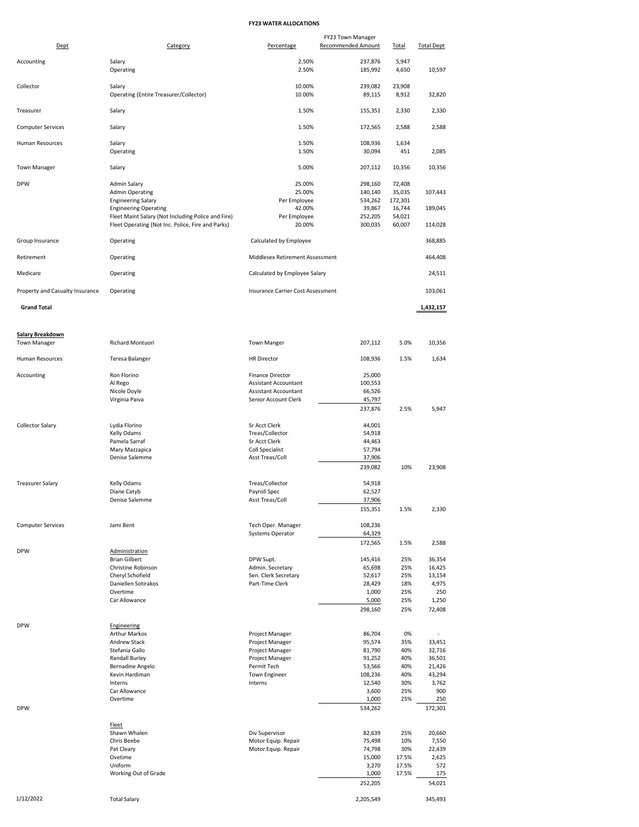## **FY23 WATER ALLOCATIONS**

| Dept                            | Category                                                  | Percentage                                             | FY23 Town Manager<br><b>Recommended Amount</b> | <b>Total</b>      | <b>Total Dept</b> |
|---------------------------------|-----------------------------------------------------------|--------------------------------------------------------|------------------------------------------------|-------------------|-------------------|
|                                 |                                                           |                                                        |                                                |                   |                   |
| Accounting                      | Salary<br>Operating                                       | 2.50%<br>2.50%                                         | 237,876<br>185,992                             | 5,947<br>4,650    | 10,597            |
| Collector                       | Salary<br>Operating (Entire Treasurer/Collector)          | 10.00%<br>10.00%                                       | 239,082<br>89,115                              | 23,908<br>8,912   | 32,820            |
| Treasurer                       | Salary                                                    | 1.50%                                                  | 155,351                                        | 2,330             | 2,330             |
| <b>Computer Services</b>        | Salary                                                    | 1.50%                                                  | 172,565                                        | 2,588             | 2,588             |
| Human Resources                 | Salary                                                    | 1.50%                                                  | 108,936                                        | 1,634             |                   |
|                                 | Operating                                                 | 1.50%                                                  | 30,094                                         | 451               | 2,085             |
| <b>Town Manager</b>             | Salary                                                    | 5.00%                                                  | 207,112                                        | 10,356            | 10,356            |
| <b>DPW</b>                      | Admin Salary<br><b>Admin Operating</b>                    | 25.00%<br>25.00%                                       | 298,160<br>140,140                             | 72,408<br>35,035  | 107,443           |
|                                 | <b>Engineering Salary</b><br><b>Engineering Operating</b> | Per Employee<br>42.00%                                 | 534,262<br>39,867                              | 172,301<br>16,744 | 189,045           |
|                                 | Fleet Maint Salary (Not Including Police and Fire)        | Per Employee                                           | 252,205                                        | 54,021            |                   |
|                                 | Fleet Operating (Not Inc. Police, Fire and Parks)         | 20.00%                                                 | 300,035                                        | 60,007            | 114,028           |
| Group Insurance                 | Operating                                                 | Calculated by Employee                                 |                                                |                   | 368,885           |
| Retirement                      | Operating                                                 | Middlesex Retirement Assessment                        |                                                |                   | 464,408           |
| Medicare                        | Operating                                                 | Calculated by Employee Salary                          |                                                |                   | 24,511            |
| Property and Casualty Insurance | Operating                                                 | Insurance Carrier Cost Assessment                      |                                                |                   | 103,061           |
| <b>Grand Total</b>              |                                                           |                                                        |                                                |                   | 1,432,157         |
| <b>Salary Breakdown</b>         |                                                           |                                                        |                                                |                   |                   |
| <b>Town Manager</b>             | Richard Montuori                                          | <b>Town Manger</b>                                     | 207,112                                        | 5.0%              | 10,356            |
| <b>Human Resources</b>          | Teresa Balanger                                           | <b>HR Director</b>                                     | 108,936                                        | 1.5%              | 1,634             |
| Accounting                      | Ron Florino<br>Al Rego                                    | <b>Finance Director</b><br><b>Assistant Accountant</b> | 25,000<br>100,553                              |                   |                   |
|                                 | Nicole Doyle                                              | <b>Assistant Accountant</b>                            | 66,526                                         |                   |                   |
|                                 | Virginia Paiva                                            | Senior Account Clerk                                   | 45,797                                         |                   |                   |
|                                 |                                                           |                                                        | 237,876                                        | 2.5%              | 5,947             |
| Collector Salary                | Lydia Florino                                             | Sr Acct Clerk                                          | 44,001                                         |                   |                   |
|                                 | Kelly Odams                                               | Treas/Collector                                        | 54,918                                         |                   |                   |
|                                 | Pamela Sarraf<br>Mary Mazzapica                           | Sr Acct Clerk<br><b>Coll Specialist</b>                | 44,463<br>57,794                               |                   |                   |
|                                 | Denise Salemme                                            | Asst Treas/Coll                                        | 37,906                                         |                   |                   |
|                                 |                                                           |                                                        | 239,082                                        | 10%               | 23,908            |
| <b>Treasurer Salary</b>         | Kelly Odams                                               | Treas/Collector                                        | 54,918                                         |                   |                   |
|                                 | Diane Catyb                                               | Payroll Spec                                           | 62,527                                         |                   |                   |
|                                 | Denise Salemme                                            | Asst Treas/Coll                                        | 37,906<br>155,351                              | 1.5%              | 2,330             |
|                                 |                                                           |                                                        |                                                |                   |                   |
| <b>Computer Services</b>        | Jami Bent                                                 | Tech Oper. Manager<br>Systems Operator                 | 108,236<br>64,329                              |                   |                   |
|                                 |                                                           |                                                        | 172,565                                        | 1.5%              | 2,588             |
| <b>DPW</b>                      | Administration                                            |                                                        |                                                |                   |                   |
|                                 | <b>Brian Gilbert</b><br>Christine Robinson                | DPW Supt.<br>Admin. Secretary                          | 145,416<br>65,698                              | 25%<br>25%        | 36,354<br>16,425  |
|                                 | Cheryl Schofield                                          | Sen. Clerk Secretary                                   | 52,617                                         | 25%               | 13,154            |
|                                 | Daniellen Sotirakos                                       | Part-Time Clerk                                        | 28,429                                         | 18%               | 4,975             |
|                                 | Overtime<br>Car Allowance                                 |                                                        | 1,000<br>5,000                                 | 25%<br>25%        | 250<br>1,250      |
|                                 |                                                           |                                                        | 298,160                                        | 25%               | 72,408            |
| <b>DPW</b>                      | Engineering                                               |                                                        |                                                |                   |                   |
|                                 | <b>Arthur Markos</b>                                      | Project Manager                                        | 86,704                                         | 0%                | ×                 |
|                                 | Andrew Stack                                              | Project Manager                                        | 95,574                                         | 35%               | 33,451            |
|                                 | Stefania Gallo<br><b>Randall Burley</b>                   | Project Manager<br>Project Manager                     | 81,790<br>91,252                               | 40%<br>40%        | 32,716<br>36,501  |
|                                 | Bernadine Angelo                                          | Permit Tech                                            | 53,566                                         | 40%               | 21,426            |
|                                 | Kevin Hardiman                                            | Town Engineer                                          | 108,236                                        | 40%               | 43,294            |
|                                 | Interns<br>Car Allowance                                  | Interns                                                | 12,540<br>3,600                                | 30%<br>25%        | 3,762<br>900      |
|                                 | Overtime                                                  |                                                        | 1,000                                          | 25%               | 250               |
| <b>DPW</b>                      |                                                           |                                                        | 534,262                                        |                   | 172,301           |
|                                 | Fleet                                                     |                                                        |                                                |                   |                   |
|                                 | Shawn Whalen<br>Chris Beebe                               | Div Supervisor<br>Motor Equip. Repair                  | 82,639<br>75,498                               | 25%<br>10%        | 20,660<br>7,550   |
|                                 | Pat Cleary                                                | Motor Equip. Repair                                    | 74,798                                         | 30%               | 22,439            |
|                                 | Ovetime                                                   |                                                        | 15,000                                         | 17.5%             | 2,625             |
|                                 | Uniform                                                   |                                                        | 3,270                                          | 17.5%             | 572               |
|                                 | Working Out of Grade                                      |                                                        | 1,000<br>252,205                               | 17.5%             | 175<br>54,021     |
|                                 |                                                           |                                                        |                                                |                   |                   |
| 1/12/2022                       | <b>Total Salary</b>                                       |                                                        | 2,205,549                                      |                   | 345,493           |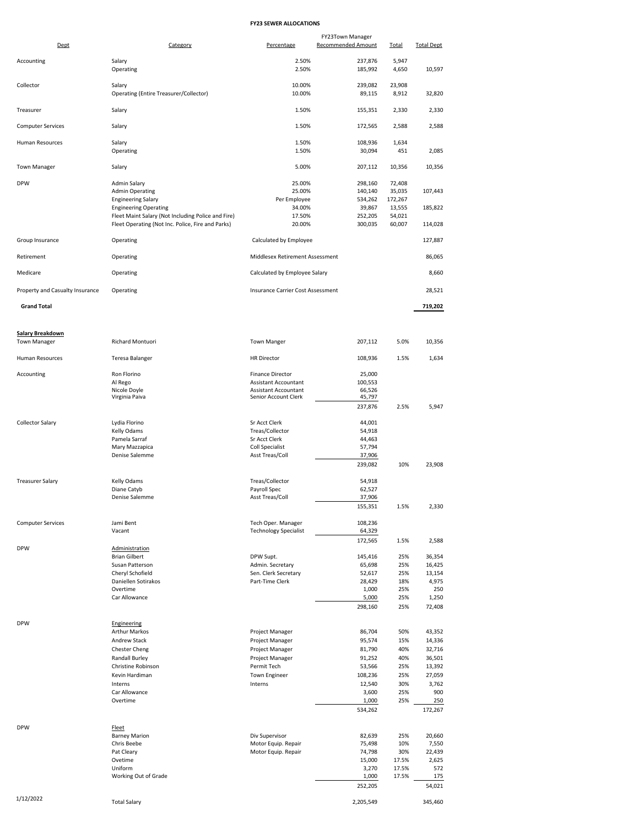## **FY23 SEWER ALLOCATIONS**

| Dept                            | Category                                                  | Percentage                                         | FY23Town Manager<br>Recommended Amount | <b>Total</b>      | <b>Total Dept</b> |
|---------------------------------|-----------------------------------------------------------|----------------------------------------------------|----------------------------------------|-------------------|-------------------|
|                                 |                                                           |                                                    |                                        |                   |                   |
| Accounting                      | Salary<br>Operating                                       | 2.50%<br>2.50%                                     | 237,876<br>185,992                     | 5,947<br>4,650    | 10,597            |
| Collector                       | Salary<br>Operating (Entire Treasurer/Collector)          | 10.00%<br>10.00%                                   | 239,082<br>89,115                      | 23,908<br>8,912   | 32,820            |
| Treasurer                       | Salary                                                    | 1.50%                                              | 155,351                                | 2,330             | 2,330             |
| <b>Computer Services</b>        | Salary                                                    | 1.50%                                              | 172,565                                | 2,588             | 2,588             |
| Human Resources                 | Salary<br>Operating                                       | 1.50%<br>1.50%                                     | 108,936<br>30,094                      | 1,634<br>451      | 2,085             |
| <b>Town Manager</b>             | Salary                                                    | 5.00%                                              | 207,112                                | 10,356            | 10,356            |
| <b>DPW</b>                      | Admin Salary                                              | 25.00%                                             | 298,160                                | 72,408            |                   |
|                                 | <b>Admin Operating</b>                                    | 25.00%                                             | 140,140                                | 35,035            | 107,443           |
|                                 | <b>Engineering Salary</b><br><b>Engineering Operating</b> | Per Employee<br>34.00%                             | 534,262<br>39,867                      | 172,267<br>13,555 | 185,822           |
|                                 | Fleet Maint Salary (Not Including Police and Fire)        | 17.50%                                             | 252,205                                | 54,021            |                   |
|                                 | Fleet Operating (Not Inc. Police, Fire and Parks)         | 20.00%                                             | 300,035                                | 60,007            | 114,028           |
| Group Insurance                 | Operating                                                 | Calculated by Employee                             |                                        |                   | 127,887           |
| Retirement                      | Operating                                                 | Middlesex Retirement Assessment                    |                                        |                   | 86,065            |
| Medicare                        | Operating                                                 | Calculated by Employee Salary                      |                                        |                   | 8,660             |
| Property and Casualty Insurance | Operating                                                 | Insurance Carrier Cost Assessment                  |                                        |                   | 28,521            |
| <b>Grand Total</b>              |                                                           |                                                    |                                        |                   | 719,202           |
| <b>Salary Breakdown</b>         |                                                           |                                                    |                                        |                   |                   |
| <b>Town Manager</b>             | Richard Montuori                                          | <b>Town Manger</b>                                 | 207,112                                | 5.0%              | 10,356            |
| Human Resources                 | Teresa Balanger                                           | <b>HR Director</b>                                 | 108,936                                | 1.5%              | 1,634             |
| Accounting                      | Ron Florino                                               | <b>Finance Director</b>                            | 25,000                                 |                   |                   |
|                                 | Al Rego<br>Nicole Doyle                                   | Assistant Accountant<br>Assistant Accountant       | 100,553<br>66,526                      |                   |                   |
|                                 | Virginia Paiva                                            | Senior Account Clerk                               | 45,797                                 |                   |                   |
|                                 |                                                           |                                                    | 237,876                                | 2.5%              | 5,947             |
| Collector Salary                | Lydia Florino                                             | Sr Acct Clerk                                      | 44,001                                 |                   |                   |
|                                 | Kelly Odams                                               | Treas/Collector                                    | 54,918                                 |                   |                   |
|                                 | Pamela Sarraf                                             | Sr Acct Clerk                                      | 44,463                                 |                   |                   |
|                                 | Mary Mazzapica                                            | Coll Specialist                                    | 57,794                                 |                   |                   |
|                                 | Denise Salemme                                            | Asst Treas/Coll                                    | 37,906<br>239,082                      | 10%               | 23,908            |
|                                 |                                                           |                                                    |                                        |                   |                   |
| <b>Treasurer Salary</b>         | Kelly Odams                                               | Treas/Collector                                    | 54,918                                 |                   |                   |
|                                 | Diane Catyb<br>Denise Salemme                             | Payroll Spec<br>Asst Treas/Coll                    | 62,527<br>37,906                       |                   |                   |
|                                 |                                                           |                                                    | 155,351                                | 1.5%              | 2,330             |
|                                 |                                                           |                                                    |                                        |                   |                   |
| <b>Computer Services</b>        | Jami Bent<br>Vacant                                       | Tech Oper. Manager<br><b>Technology Specialist</b> | 108,236<br>64,329                      |                   |                   |
|                                 |                                                           |                                                    | 172,565                                | 1.5%              | 2,588             |
| <b>DPW</b>                      | Administration<br><b>Brian Gilbert</b>                    |                                                    |                                        |                   |                   |
|                                 | Susan Patterson                                           | DPW Supt.<br>Admin. Secretary                      | 145,416<br>65,698                      | 25%<br>25%        | 36,354<br>16,425  |
|                                 | Cheryl Schofield                                          | Sen. Clerk Secretary                               | 52,617                                 | 25%               | 13,154            |
|                                 | Daniellen Sotirakos                                       | Part-Time Clerk                                    | 28,429                                 | 18%               | 4,975             |
|                                 | Overtime<br>Car Allowance                                 |                                                    | 1,000<br>5,000                         | 25%<br>25%        | 250<br>1,250      |
|                                 |                                                           |                                                    | 298,160                                | 25%               | 72,408            |
|                                 |                                                           |                                                    |                                        |                   |                   |
| <b>DPW</b>                      | Engineering<br>Arthur Markos                              | Project Manager                                    | 86,704                                 | 50%               | 43,352            |
|                                 | Andrew Stack                                              | Project Manager                                    | 95,574                                 | 15%               | 14,336            |
|                                 | <b>Chester Cheng</b>                                      | Project Manager                                    | 81,790                                 | 40%               | 32,716            |
|                                 | Randall Burley                                            | Project Manager                                    | 91,252                                 | 40%               | 36,501            |
|                                 | Christine Robinson                                        | Permit Tech                                        | 53,566                                 | 25%               | 13,392            |
|                                 | Kevin Hardiman                                            | <b>Town Engineer</b>                               | 108,236                                | 25%               | 27,059            |
|                                 | Interns<br>Car Allowance                                  | Interns                                            | 12,540<br>3,600                        | 30%<br>25%        | 3,762<br>900      |
|                                 | Overtime                                                  |                                                    | 1,000                                  | 25%               | 250               |
|                                 |                                                           |                                                    | 534,262                                |                   | 172,267           |
| <b>DPW</b>                      | <b>Fleet</b>                                              |                                                    |                                        |                   |                   |
|                                 | <b>Barney Marion</b>                                      | Div Supervisor                                     | 82,639                                 | 25%               | 20,660            |
|                                 | Chris Beebe<br>Pat Cleary                                 | Motor Equip. Repair<br>Motor Equip. Repair         | 75,498<br>74,798                       | 10%<br>30%        | 7,550<br>22,439   |
|                                 | Ovetime                                                   |                                                    | 15,000                                 | 17.5%             | 2,625             |
|                                 | Uniform                                                   |                                                    | 3,270                                  | 17.5%             | 572               |
|                                 | Working Out of Grade                                      |                                                    | 1,000<br>252,205                       | 17.5%             | 175<br>54,021     |
|                                 |                                                           |                                                    |                                        |                   |                   |
| 1/12/2022                       | <b>Total Salary</b>                                       |                                                    | 2,205,549                              |                   | 345,460           |